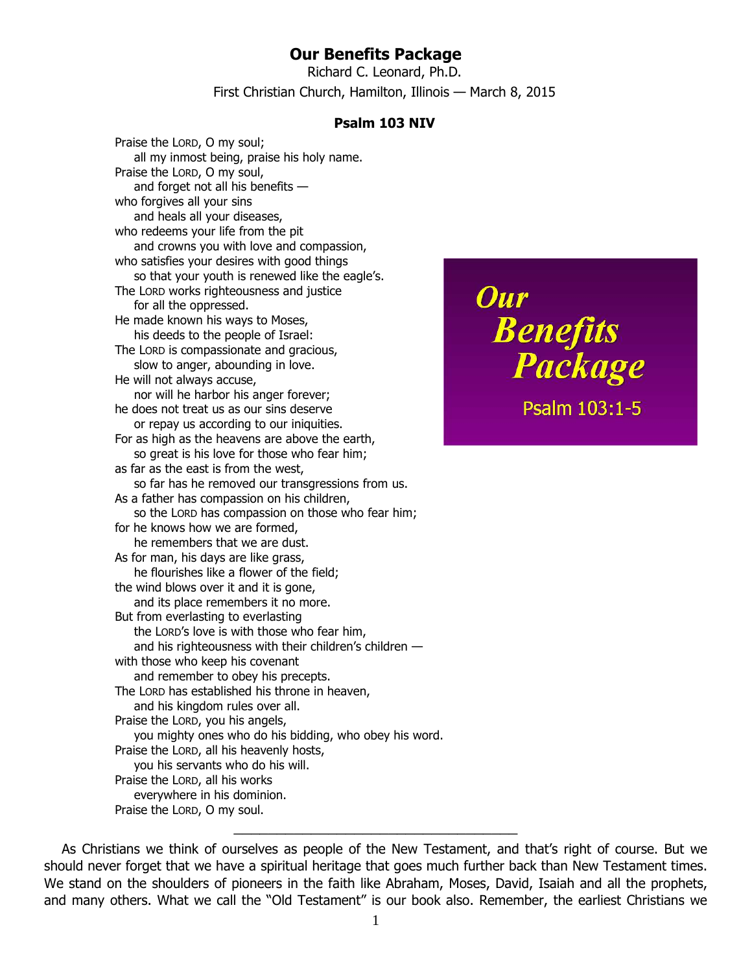## **Our Benefits Package**

Richard C. Leonard, Ph.D. First Christian Church, Hamilton, Illinois — March 8, 2015

## **Psalm 103 NIV**

Praise the LORD, O my soul; all my inmost being, praise his holy name. Praise the LORD, O my soul, and forget not all his benefits who forgives all your sins and heals all your diseases, who redeems your life from the pit and crowns you with love and compassion, who satisfies your desires with good things so that your youth is renewed like the eagle's. The LORD works righteousness and justice for all the oppressed. He made known his ways to Moses, his deeds to the people of Israel: The LORD is compassionate and gracious, slow to anger, abounding in love. He will not always accuse, nor will he harbor his anger forever; he does not treat us as our sins deserve or repay us according to our iniquities. For as high as the heavens are above the earth, so great is his love for those who fear him; as far as the east is from the west, so far has he removed our transgressions from us. As a father has compassion on his children, so the LORD has compassion on those who fear him; for he knows how we are formed, he remembers that we are dust. As for man, his days are like grass, he flourishes like a flower of the field; the wind blows over it and it is gone, and its place remembers it no more. But from everlasting to everlasting the LORD's love is with those who fear him, and his righteousness with their children's children with those who keep his covenant and remember to obey his precepts. The LORD has established his throne in heaven, and his kingdom rules over all. Praise the LORD, you his angels, you mighty ones who do his bidding, who obey his word. Praise the LORD, all his heavenly hosts, you his servants who do his will. Praise the LORD, all his works everywhere in his dominion. Praise the LORD, O my soul.

Our **Benefits**<br>**Package** Psalm 103:1-5

As Christians we think of ourselves as people of the New Testament, and that's right of course. But we should never forget that we have a spiritual heritage that goes much further back than New Testament times. We stand on the shoulders of pioneers in the faith like Abraham, Moses, David, Isaiah and all the prophets, and many others. What we call the "Old Testament" is our book also. Remember, the earliest Christians we

\_\_\_\_\_\_\_\_\_\_\_\_\_\_\_\_\_\_\_\_\_\_\_\_\_\_\_\_\_\_\_\_\_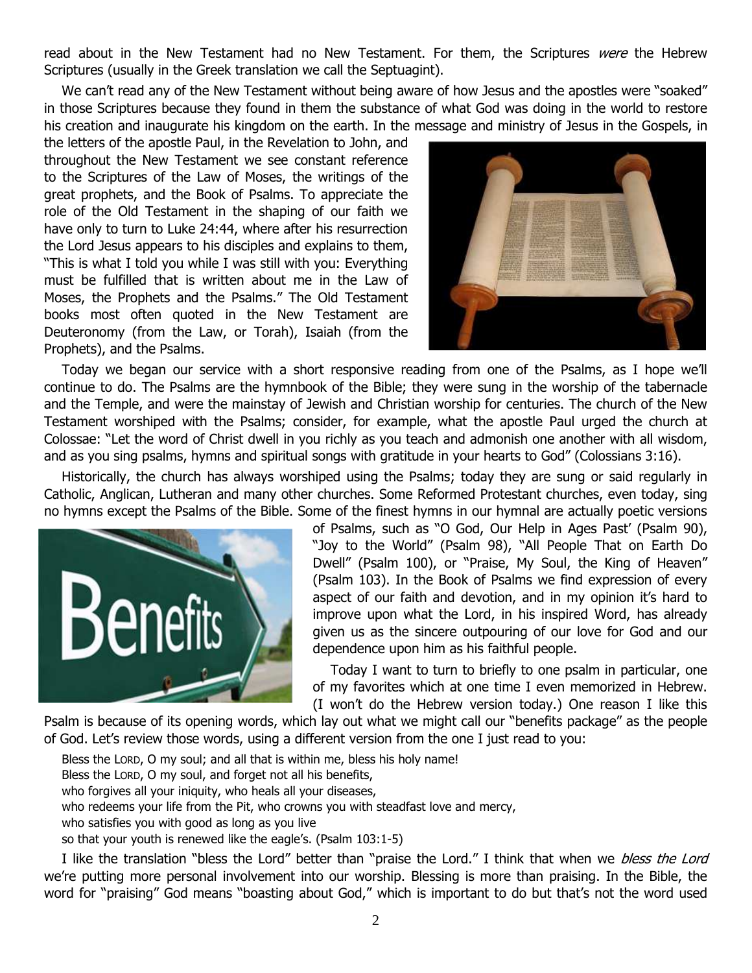read about in the New Testament had no New Testament. For them, the Scriptures were the Hebrew Scriptures (usually in the Greek translation we call the Septuagint).

We can't read any of the New Testament without being aware of how Jesus and the apostles were "soaked" in those Scriptures because they found in them the substance of what God was doing in the world to restore his creation and inaugurate his kingdom on the earth. In the message and ministry of Jesus in the Gospels, in

the letters of the apostle Paul, in the Revelation to John, and throughout the New Testament we see constant reference to the Scriptures of the Law of Moses, the writings of the great prophets, and the Book of Psalms. To appreciate the role of the Old Testament in the shaping of our faith we have only to turn to Luke 24:44, where after his resurrection the Lord Jesus appears to his disciples and explains to them, "This is what I told you while I was still with you: Everything must be fulfilled that is written about me in the Law of Moses, the Prophets and the Psalms." The Old Testament books most often quoted in the New Testament are Deuteronomy (from the Law, or Torah), Isaiah (from the Prophets), and the Psalms.



Today we began our service with a short responsive reading from one of the Psalms, as I hope we'll continue to do. The Psalms are the hymnbook of the Bible; they were sung in the worship of the tabernacle and the Temple, and were the mainstay of Jewish and Christian worship for centuries. The church of the New Testament worshiped with the Psalms; consider, for example, what the apostle Paul urged the church at Colossae: "Let the word of Christ dwell in you richly as you teach and admonish one another with all wisdom, and as you sing psalms, hymns and spiritual songs with gratitude in your hearts to God" (Colossians 3:16).

Historically, the church has always worshiped using the Psalms; today they are sung or said regularly in Catholic, Anglican, Lutheran and many other churches. Some Reformed Protestant churches, even today, sing no hymns except the Psalms of the Bible. Some of the finest hymns in our hymnal are actually poetic versions



of Psalms, such as "O God, Our Help in Ages Past' (Psalm 90), "Joy to the World" (Psalm 98), "All People That on Earth Do Dwell" (Psalm 100), or "Praise, My Soul, the King of Heaven" (Psalm 103). In the Book of Psalms we find expression of every aspect of our faith and devotion, and in my opinion it's hard to improve upon what the Lord, in his inspired Word, has already given us as the sincere outpouring of our love for God and our dependence upon him as his faithful people.

Today I want to turn to briefly to one psalm in particular, one of my favorites which at one time I even memorized in Hebrew. (I won't do the Hebrew version today.) One reason I like this

Psalm is because of its opening words, which lay out what we might call our "benefits package" as the people of God. Let's review those words, using a different version from the one I just read to you:

Bless the LORD, O my soul; and all that is within me, bless his holy name! Bless the LORD, O my soul, and forget not all his benefits, who forgives all your iniquity, who heals all your diseases, who redeems your life from the Pit, who crowns you with steadfast love and mercy, who satisfies you with good as long as you live so that your youth is renewed like the eagle's. (Psalm 103:1-5)

I like the translation "bless the Lord" better than "praise the Lord." I think that when we bless the Lord we're putting more personal involvement into our worship. Blessing is more than praising. In the Bible, the word for "praising" God means "boasting about God," which is important to do but that's not the word used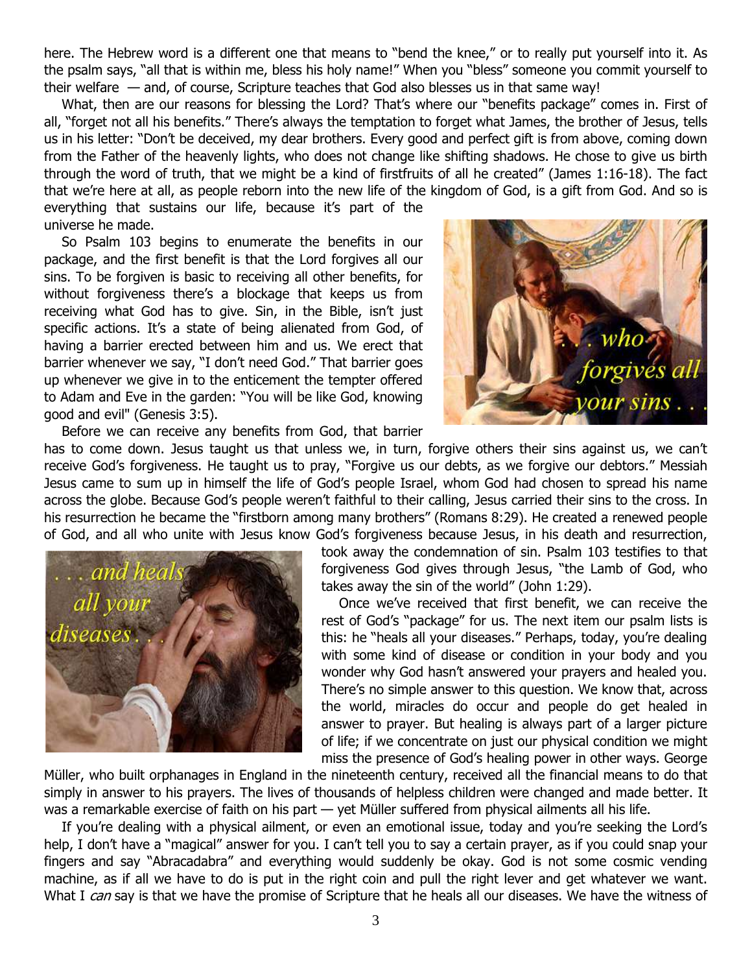here. The Hebrew word is a different one that means to "bend the knee," or to really put yourself into it. As the psalm says, "all that is within me, bless his holy name!" When you "bless" someone you commit yourself to their welfare — and, of course, Scripture teaches that God also blesses us in that same way!

What, then are our reasons for blessing the Lord? That's where our "benefits package" comes in. First of all, "forget not all his benefits." There's always the temptation to forget what James, the brother of Jesus, tells us in his letter: "Don't be deceived, my dear brothers. Every good and perfect gift is from above, coming down from the Father of the heavenly lights, who does not change like shifting shadows. He chose to give us birth through the word of truth, that we might be a kind of firstfruits of all he created" (James 1:16-18). The fact that we're here at all, as people reborn into the new life of the kingdom of God, is a gift from God. And so is

everything that sustains our life, because it's part of the universe he made.

So Psalm 103 begins to enumerate the benefits in our package, and the first benefit is that the Lord forgives all our sins. To be forgiven is basic to receiving all other benefits, for without forgiveness there's a blockage that keeps us from receiving what God has to give. Sin, in the Bible, isn't just specific actions. It's a state of being alienated from God, of having a barrier erected between him and us. We erect that barrier whenever we say, "I don't need God." That barrier goes up whenever we give in to the enticement the tempter offered to Adam and Eve in the garden: "You will be like God, knowing good and evil" (Genesis 3:5).



Before we can receive any benefits from God, that barrier

has to come down. Jesus taught us that unless we, in turn, forgive others their sins against us, we can't receive God's forgiveness. He taught us to pray, "Forgive us our debts, as we forgive our debtors." Messiah Jesus came to sum up in himself the life of God's people Israel, whom God had chosen to spread his name across the globe. Because God's people weren't faithful to their calling, Jesus carried their sins to the cross. In his resurrection he became the "firstborn among many brothers" (Romans 8:29). He created a renewed people of God, and all who unite with Jesus know God's forgiveness because Jesus, in his death and resurrection,



took away the condemnation of sin. Psalm 103 testifies to that forgiveness God gives through Jesus, "the Lamb of God, who takes away the sin of the world" (John 1:29).

Once we've received that first benefit, we can receive the rest of God's "package" for us. The next item our psalm lists is this: he "heals all your diseases." Perhaps, today, you're dealing with some kind of disease or condition in your body and you wonder why God hasn't answered your prayers and healed you. There's no simple answer to this question. We know that, across the world, miracles do occur and people do get healed in answer to prayer. But healing is always part of a larger picture of life; if we concentrate on just our physical condition we might miss the presence of God's healing power in other ways. George

Müller, who built orphanages in England in the nineteenth century, received all the financial means to do that simply in answer to his prayers. The lives of thousands of helpless children were changed and made better. It was a remarkable exercise of faith on his part — yet Müller suffered from physical ailments all his life.

If you're dealing with a physical ailment, or even an emotional issue, today and you're seeking the Lord's help, I don't have a "magical" answer for you. I can't tell you to say a certain prayer, as if you could snap your fingers and say "Abracadabra" and everything would suddenly be okay. God is not some cosmic vending machine, as if all we have to do is put in the right coin and pull the right lever and get whatever we want. What I can say is that we have the promise of Scripture that he heals all our diseases. We have the witness of